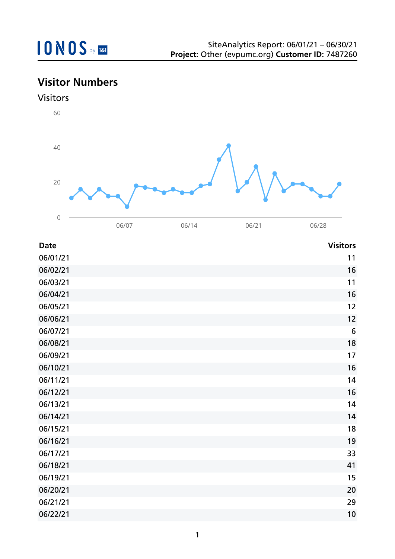## **Visitor Numbers**

#### Visitors



| <b>Date</b> | <b>Visitors</b> |
|-------------|-----------------|
| 06/01/21    | 11              |
| 06/02/21    | 16              |
| 06/03/21    | 11              |
| 06/04/21    | 16              |
| 06/05/21    | 12              |
| 06/06/21    | 12              |
| 06/07/21    | $6\,$           |
| 06/08/21    | 18              |
| 06/09/21    | 17              |
| 06/10/21    | 16              |
| 06/11/21    | 14              |
| 06/12/21    | 16              |
| 06/13/21    | 14              |
| 06/14/21    | 14              |
| 06/15/21    | 18              |
| 06/16/21    | 19              |
| 06/17/21    | 33              |
| 06/18/21    | 41              |
| 06/19/21    | 15              |
| 06/20/21    | 20              |
| 06/21/21    | 29              |
| 06/22/21    | 10              |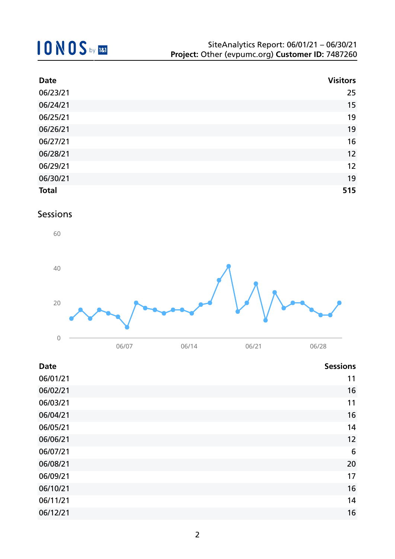| <b>Date</b>  | <b>Visitors</b> |
|--------------|-----------------|
| 06/23/21     | 25              |
| 06/24/21     | 15              |
| 06/25/21     | 19              |
| 06/26/21     | 19              |
| 06/27/21     | 16              |
| 06/28/21     | 12              |
| 06/29/21     | 12              |
| 06/30/21     | 19              |
| <b>Total</b> | 515             |

### Sessions



| <b>Date</b> | <b>Sessions</b> |
|-------------|-----------------|
| 06/01/21    | 11              |
| 06/02/21    | 16              |
| 06/03/21    | 11              |
| 06/04/21    | 16              |
| 06/05/21    | 14              |
| 06/06/21    | 12              |
| 06/07/21    | 6               |
| 06/08/21    | 20              |
| 06/09/21    | 17              |
| 06/10/21    | 16              |
| 06/11/21    | 14              |
| 06/12/21    | 16              |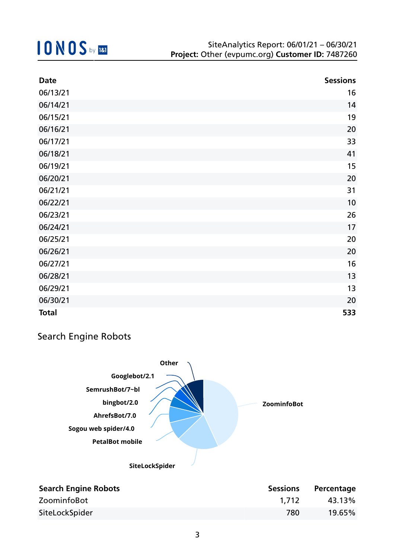| <b>Date</b>  | <b>Sessions</b> |
|--------------|-----------------|
| 06/13/21     | 16              |
| 06/14/21     | 14              |
| 06/15/21     | 19              |
| 06/16/21     | 20              |
| 06/17/21     | 33              |
| 06/18/21     | 41              |
| 06/19/21     | 15              |
| 06/20/21     | 20              |
| 06/21/21     | 31              |
| 06/22/21     | 10              |
| 06/23/21     | 26              |
| 06/24/21     | 17              |
| 06/25/21     | 20              |
| 06/26/21     | 20              |
| 06/27/21     | 16              |
| 06/28/21     | 13              |
| 06/29/21     | 13              |
| 06/30/21     | 20              |
| <b>Total</b> | 533             |

### Search Engine Robots



| <b>Search Engine Robots</b> | <b>Sessions</b> | Percentage |
|-----------------------------|-----------------|------------|
| ZoominfoBot                 | 1.712           | 43.13%     |
| SiteLockSpider              | 780             | 19.65%     |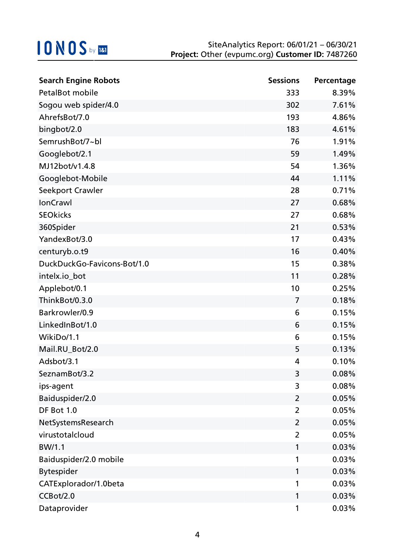| <b>Search Engine Robots</b> | <b>Sessions</b> | Percentage |
|-----------------------------|-----------------|------------|
| <b>PetalBot mobile</b>      | 333             | 8.39%      |
| Sogou web spider/4.0        | 302             | 7.61%      |
| AhrefsBot/7.0               | 193             | 4.86%      |
| bingbot/2.0                 | 183             | 4.61%      |
| SemrushBot/7~bl             | 76              | 1.91%      |
| Googlebot/2.1               | 59              | 1.49%      |
| MJ12bot/v1.4.8              | 54              | 1.36%      |
| Googlebot-Mobile            | 44              | 1.11%      |
| Seekport Crawler            | 28              | 0.71%      |
| <b>IonCrawl</b>             | 27              | 0.68%      |
| <b>SEOkicks</b>             | 27              | 0.68%      |
| 360Spider                   | 21              | 0.53%      |
| YandexBot/3.0               | 17              | 0.43%      |
| centuryb.o.t9               | 16              | 0.40%      |
| DuckDuckGo-Favicons-Bot/1.0 | 15              | 0.38%      |
| intelx.io_bot               | 11              | 0.28%      |
| Applebot/0.1                | 10              | 0.25%      |
| ThinkBot/0.3.0              | $\overline{7}$  | 0.18%      |
| Barkrowler/0.9              | 6               | 0.15%      |
| LinkedInBot/1.0             | 6               | 0.15%      |
| WikiDo/1.1                  | 6               | 0.15%      |
| Mail.RU_Bot/2.0             | 5               | 0.13%      |
| Adsbot/3.1                  | 4               | 0.10%      |
| SeznamBot/3.2               | 3               | 0.08%      |
| ips-agent                   | 3               | 0.08%      |
| Baiduspider/2.0             | $\overline{2}$  | 0.05%      |
| DF Bot 1.0                  | $\overline{2}$  | 0.05%      |
| NetSystemsResearch          | $\overline{2}$  | 0.05%      |
| virustotalcloud             | $\overline{2}$  | 0.05%      |
| BW/1.1                      | 1               | 0.03%      |
| Baiduspider/2.0 mobile      | 1               | 0.03%      |
| <b>Bytespider</b>           | 1               | 0.03%      |
| CATExplorador/1.0beta       | 1               | 0.03%      |
| CCBot/2.0                   | 1               | 0.03%      |
| Dataprovider                | 1               | 0.03%      |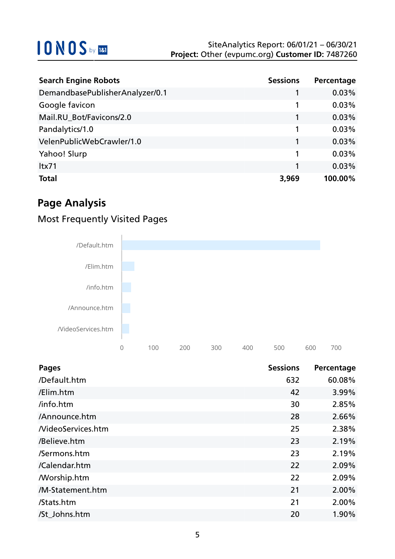| <b>Search Engine Robots</b>     | <b>Sessions</b> | Percentage |
|---------------------------------|-----------------|------------|
| DemandbasePublisherAnalyzer/0.1 |                 | 0.03%      |
| Google favicon                  |                 | 0.03%      |
| Mail.RU_Bot/Favicons/2.0        | 1               | 0.03%      |
| Pandalytics/1.0                 | 1               | 0.03%      |
| VelenPublicWebCrawler/1.0       | 1               | 0.03%      |
| Yahoo! Slurp                    | 1               | 0.03%      |
| Itx71                           |                 | 0.03%      |
| <b>Total</b>                    | 3,969           | 100.00%    |

### **Page Analysis**

### Most Frequently Visited Pages



| <b>Pages</b>       | <b>Sessions</b> | Percentage |
|--------------------|-----------------|------------|
| /Default.htm       | 632             | 60.08%     |
| /Elim.htm          | 42              | 3.99%      |
| /info.htm          | 30              | 2.85%      |
| /Announce.htm      | 28              | 2.66%      |
| NideoServices.htm  | 25              | 2.38%      |
| /Believe.htm       | 23              | 2.19%      |
| /Sermons.htm       | 23              | 2.19%      |
| /Calendar.htm      | 22              | 2.09%      |
| <b>Morship.htm</b> | 22              | 2.09%      |
| /M-Statement.htm   | 21              | 2.00%      |
| /Stats.htm         | 21              | 2.00%      |
| /St_Johns.htm      | 20              | 1.90%      |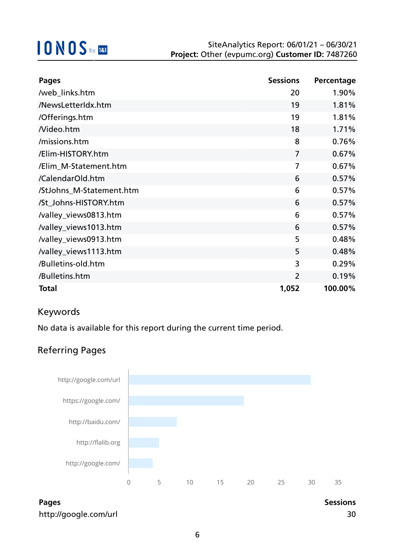| <b>Pages</b>             | <b>Sessions</b> | Percentage |
|--------------------------|-----------------|------------|
| /web_links.htm           | 20              | 1.90%      |
| /NewsLetterIdx.htm       | 19              | 1.81%      |
| /Offerings.htm           | 19              | 1.81%      |
| Nideo.htm                | 18              | 1.71%      |
| /missions.htm            | 8               | 0.76%      |
| /Elim-HISTORY.htm        | $\overline{7}$  | 0.67%      |
| /Elim_M-Statement.htm    | $\overline{7}$  | 0.67%      |
| /CalendarOld.htm         | 6               | 0.57%      |
| /StJohns_M-Statement.htm | 6               | 0.57%      |
| /St_Johns-HISTORY.htm    | 6               | 0.57%      |
| /valley_views0813.htm    | 6               | 0.57%      |
| /valley_views1013.htm    | 6               | 0.57%      |
| /valley_views0913.htm    | 5               | 0.48%      |
| /valley_views1113.htm    | 5               | 0.48%      |
| /Bulletins-old.htm       | 3               | 0.29%      |
| /Bulletins.htm           | $\overline{2}$  | 0.19%      |
| <b>Total</b>             | 1,052           | 100.00%    |

### Keywords

No data is available for this report during the current time period.

### Referring Pages

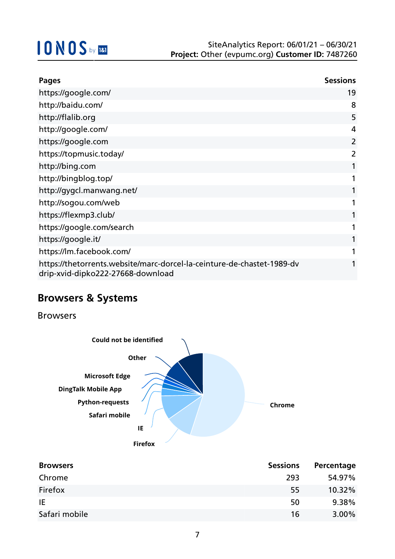| <b>Pages</b>                                                                                                | <b>Sessions</b> |
|-------------------------------------------------------------------------------------------------------------|-----------------|
| https://google.com/                                                                                         | 19              |
| http://baidu.com/                                                                                           | 8               |
| http://flalib.org                                                                                           | 5               |
| http://google.com/                                                                                          | 4               |
| https://google.com                                                                                          | 2               |
| https://topmusic.today/                                                                                     | 2               |
| http://bing.com                                                                                             |                 |
| http://bingblog.top/                                                                                        |                 |
| http://gygcl.manwang.net/                                                                                   |                 |
| http://sogou.com/web                                                                                        |                 |
| https://flexmp3.club/                                                                                       |                 |
| https://google.com/search                                                                                   |                 |
| https://google.it/                                                                                          |                 |
| https://lm.facebook.com/                                                                                    |                 |
| https://thetorrents.website/marc-dorcel-la-ceinture-de-chastet-1989-dv<br>drip-xvid-dipko222-27668-download |                 |

### **Browsers & Systems**

Browsers



| <b>Browsers</b> | <b>Sessions</b> | Percentage |
|-----------------|-----------------|------------|
| Chrome          | 293             | 54.97%     |
| Firefox         | 55              | $10.32\%$  |
| IE              | 50              | 9.38%      |
| Safari mobile   | 16              | $3.00\%$   |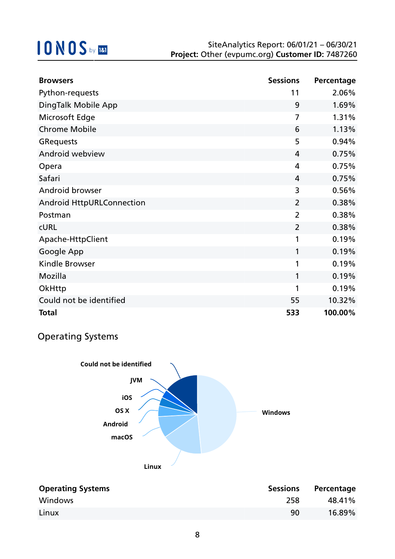| <b>Browsers</b>                  | <b>Sessions</b> | Percentage |
|----------------------------------|-----------------|------------|
| Python-requests                  | 11              | 2.06%      |
| DingTalk Mobile App              | 9               | 1.69%      |
| Microsoft Edge                   | $\overline{7}$  | 1.31%      |
| <b>Chrome Mobile</b>             | 6               | 1.13%      |
| <b>GRequests</b>                 | 5               | 0.94%      |
| Android webview                  | 4               | 0.75%      |
| Opera                            | 4               | 0.75%      |
| Safari                           | 4               | 0.75%      |
| <b>Android browser</b>           | 3               | 0.56%      |
| <b>Android HttpURLConnection</b> | $\overline{2}$  | 0.38%      |
| Postman                          | $\overline{2}$  | 0.38%      |
| <b>CURL</b>                      | $\overline{2}$  | 0.38%      |
| Apache-HttpClient                | 1               | 0.19%      |
| Google App                       | 1               | 0.19%      |
| <b>Kindle Browser</b>            | 1               | 0.19%      |
| Mozilla                          | 1               | 0.19%      |
| OkHttp                           | 1               | 0.19%      |
| Could not be identified          | 55              | 10.32%     |
| <b>Total</b>                     | 533             | 100.00%    |

### Operating Systems



| <b>Operating Systems</b> | <b>Sessions</b> | Percentage |
|--------------------------|-----------------|------------|
| Windows                  | 258             | 48.41%     |
| Linux                    | 90              | 16.89%     |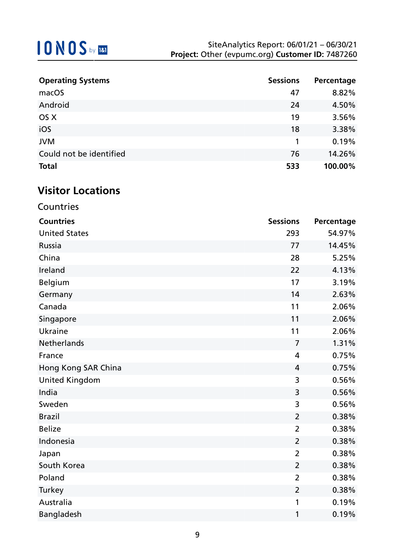| <b>Operating Systems</b> | <b>Sessions</b> | Percentage |
|--------------------------|-----------------|------------|
| macOS                    | 47              | 8.82%      |
| Android                  | 24              | 4.50%      |
| OS X                     | 19              | 3.56%      |
| iOS                      | 18              | 3.38%      |
| <b>JVM</b>               |                 | 0.19%      |
| Could not be identified  | 76              | 14.26%     |
| <b>Total</b>             | 533             | 100.00%    |

## **Visitor Locations**

**Countries** 

| <b>Countries</b>      | <b>Sessions</b> | Percentage |
|-----------------------|-----------------|------------|
| <b>United States</b>  | 293             | 54.97%     |
| <b>Russia</b>         | 77              | 14.45%     |
| China                 | 28              | 5.25%      |
| Ireland               | 22              | 4.13%      |
| Belgium               | 17              | 3.19%      |
| Germany               | 14              | 2.63%      |
| Canada                | 11              | 2.06%      |
| Singapore             | 11              | 2.06%      |
| <b>Ukraine</b>        | 11              | 2.06%      |
| <b>Netherlands</b>    | $\overline{7}$  | 1.31%      |
| France                | $\overline{4}$  | 0.75%      |
| Hong Kong SAR China   | 4               | 0.75%      |
| <b>United Kingdom</b> | 3               | 0.56%      |
| India                 | 3               | 0.56%      |
| Sweden                | 3               | 0.56%      |
| <b>Brazil</b>         | $\overline{2}$  | 0.38%      |
| <b>Belize</b>         | $\overline{2}$  | 0.38%      |
| Indonesia             | $\overline{2}$  | 0.38%      |
| Japan                 | $\overline{2}$  | 0.38%      |
| South Korea           | $\overline{2}$  | 0.38%      |
| Poland                | $\overline{2}$  | 0.38%      |
| Turkey                | $\overline{2}$  | 0.38%      |
| Australia             | 1               | 0.19%      |
| <b>Bangladesh</b>     | 1               | 0.19%      |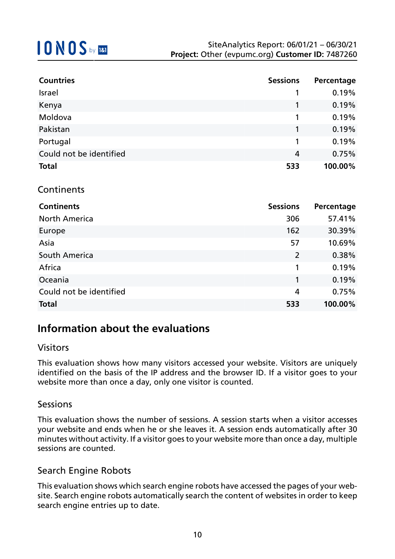| <b>Countries</b>        | <b>Sessions</b> | Percentage |
|-------------------------|-----------------|------------|
| Israel                  | 1               | 0.19%      |
| Kenya                   | 1               | 0.19%      |
| Moldova                 | 1               | 0.19%      |
| Pakistan                | 1               | 0.19%      |
| Portugal                | 1               | 0.19%      |
| Could not be identified | 4               | 0.75%      |
| <b>Total</b>            | 533             | 100.00%    |
| Continents              |                 |            |
| <b>Continents</b>       | <b>Sessions</b> | Percentage |
| <b>North America</b>    | 306             | 57.41%     |
| Europe                  | 162             | 30.39%     |
| Asia                    | 57              | 10.69%     |
| South America           | $\overline{2}$  | 0.38%      |
| Africa                  | 1               | 0.19%      |

# **Total 533 100.00%**

### **Information about the evaluations**

#### Visitors

This evaluation shows how many visitors accessed your website. Visitors are uniquely identified on the basis of the IP address and the browser ID. If a visitor goes to your website more than once a day, only one visitor is counted.

Oceania 1 0.19% Could not be identified 4 0.75%

#### Sessions

This evaluation shows the number of sessions. A session starts when a visitor accesses your website and ends when he or she leaves it. A session ends automatically after 30 minutes without activity. If a visitor goes to your website more than once a day, multiple sessions are counted.

### Search Engine Robots

This evaluation shows which search engine robots have accessed the pages of your website. Search engine robots automatically search the content of websites in order to keep search engine entries up to date.